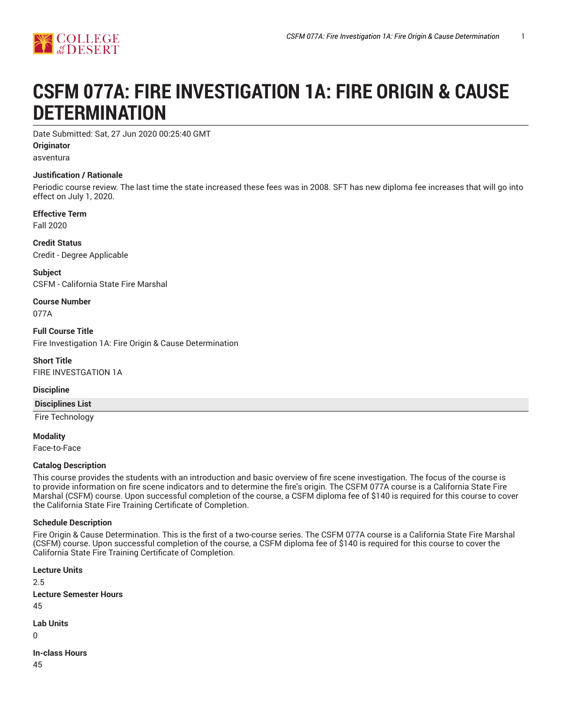

# **CSFM 077A: FIRE INVESTIGATION 1A: FIRE ORIGIN & CAUSE DETERMINATION**

Date Submitted: Sat, 27 Jun 2020 00:25:40 GMT

**Originator**

asventura

#### **Justification / Rationale**

Periodic course review. The last time the state increased these fees was in 2008. SFT has new diploma fee increases that will go into effect on July 1, 2020.

**Effective Term**

Fall 2020

**Credit Status** Credit - Degree Applicable

**Subject** CSFM - California State Fire Marshal

**Course Number** 077A

**Full Course Title** Fire Investigation 1A: Fire Origin & Cause Determination

**Short Title** FIRE INVESTGATION 1A

**Discipline**

**Disciplines List**

Fire Technology

**Modality**

Face-to-Face

#### **Catalog Description**

This course provides the students with an introduction and basic overview of fire scene investigation. The focus of the course is to provide information on fire scene indicators and to determine the fire's origin. The CSFM 077A course is a California State Fire Marshal (CSFM) course. Upon successful completion of the course, a CSFM diploma fee of \$140 is required for this course to cover the California State Fire Training Certificate of Completion.

#### **Schedule Description**

Fire Origin & Cause Determination. This is the first of a two-course series. The CSFM 077A course is a California State Fire Marshal (CSFM) course. Upon successful completion of the course, a CSFM diploma fee of \$140 is required for this course to cover the California State Fire Training Certificate of Completion.

**Lecture Units** 2.5 **Lecture Semester Hours** 45 **Lab Units**  $\Omega$ 

**In-class Hours**

45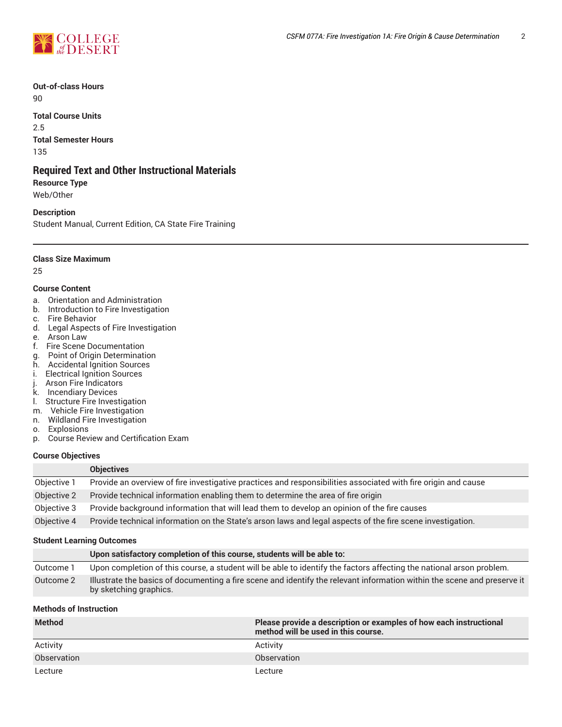

**Out-of-class Hours** 90

**Total Course Units** 2.5 **Total Semester Hours** 135

### **Required Text and Other Instructional Materials**

**Resource Type** Web/Other

#### **Description**

Student Manual, Current Edition, CA State Fire Training

**Class Size Maximum**

25

#### **Course Content**

- a. Orientation and Administration
- b. Introduction to Fire Investigation
- c. Fire Behavior
- d. Legal Aspects of Fire Investigation
- e. Arson Law
- f. Fire Scene Documentation
- g. Point of Origin Determination
- h. Accidental Ignition Sources
- i. Electrical Ignition Sources<br>j. Arson Fire Indicators<br>k. Incendiary Devices
- Arson Fire Indicators
- **Incendiary Devices**
- l. Structure Fire Investigation
- m. Vehicle Fire Investigation
- n. Wildland Fire Investigation
- o. Explosions
- p. Course Review and Certification Exam

**Objectives**

#### **Course Objectives**

|             | <b>UDIECTIVES</b>                                                                                              |
|-------------|----------------------------------------------------------------------------------------------------------------|
| Objective 1 | Provide an overview of fire investigative practices and responsibilities associated with fire origin and cause |
| Objective 2 | Provide technical information enabling them to determine the area of fire origin                               |
| Objective 3 | Provide background information that will lead them to develop an opinion of the fire causes                    |
| Objective 4 | Provide technical information on the State's arson laws and legal aspects of the fire scene investigation.     |

#### **Student Learning Outcomes**

|           | Upon satisfactory completion of this course, students will be able to:                                                                             |
|-----------|----------------------------------------------------------------------------------------------------------------------------------------------------|
| Outcome 1 | Upon completion of this course, a student will be able to identify the factors affecting the national arson problem.                               |
| Outcome 2 | Illustrate the basics of documenting a fire scene and identify the relevant information within the scene and preserve it<br>by sketching graphics. |

#### **Methods of Instruction**

| <b>Method</b> | Please provide a description or examples of how each instructional<br>method will be used in this course. |
|---------------|-----------------------------------------------------------------------------------------------------------|
| Activity      | Activity                                                                                                  |
| Observation   | Observation                                                                                               |
| Lecture       | Lecture                                                                                                   |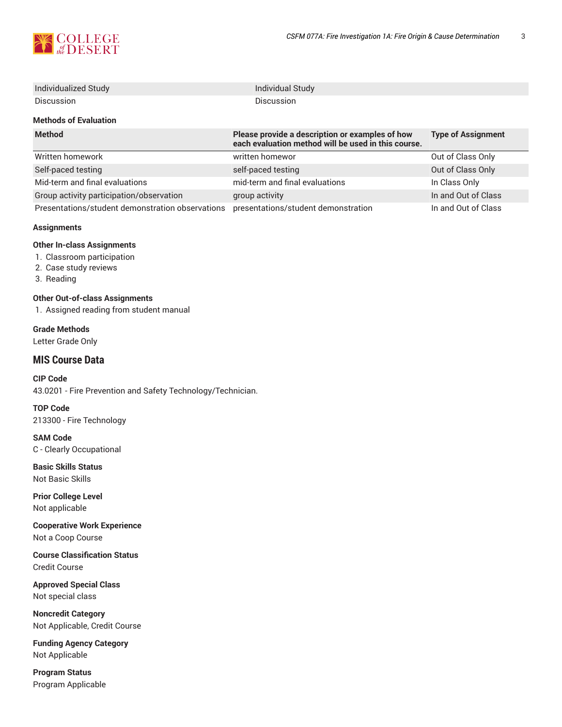

| Individualized Study                             | Individual Study                                                                                       |                           |
|--------------------------------------------------|--------------------------------------------------------------------------------------------------------|---------------------------|
| Discussion                                       | <b>Discussion</b>                                                                                      |                           |
| <b>Methods of Evaluation</b>                     |                                                                                                        |                           |
| <b>Method</b>                                    | Please provide a description or examples of how<br>each evaluation method will be used in this course. | <b>Type of Assignment</b> |
| Written homework                                 | written homewor                                                                                        | Out of Class Only         |
| Self-paced testing                               | self-paced testing                                                                                     | Out of Class Only         |
| Mid-term and final evaluations                   | mid-term and final evaluations                                                                         | In Class Only             |
| Group activity participation/observation         | group activity                                                                                         | In and Out of Class       |
| Presentations/student demonstration observations | presentations/student demonstration                                                                    | In and Out of Class       |

#### **Assignments**

#### **Other In-class Assignments**

- 1. Classroom participation
- 2. Case study reviews
- 3. Reading

#### **Other Out-of-class Assignments**

1. Assigned reading from student manual

#### **Grade Methods** Letter Grade Only

## **MIS Course Data**

**CIP Code** 43.0201 - Fire Prevention and Safety Technology/Technician.

**TOP Code** 213300 - Fire Technology

**SAM Code** C - Clearly Occupational

**Basic Skills Status** Not Basic Skills

**Prior College Level** Not applicable

**Cooperative Work Experience** Not a Coop Course

**Course Classification Status** Credit Course

**Approved Special Class** Not special class

**Noncredit Category** Not Applicable, Credit Course

**Funding Agency Category** Not Applicable

**Program Status** Program Applicable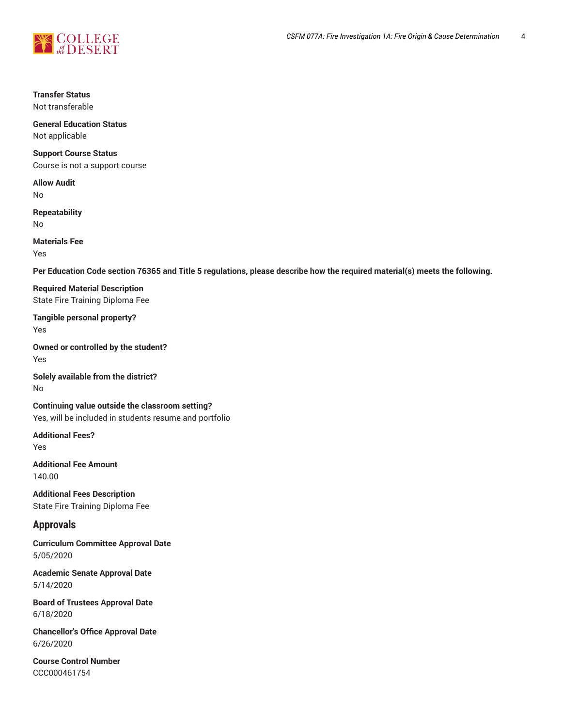

## **Transfer Status**

Not transferable

#### **General Education Status** Not applicable

## **Support Course Status**

Course is not a support course

**Allow Audit** No

**Repeatability** No

**Materials Fee**

Yes

Per Education Code section 76365 and Title 5 regulations, please describe how the required material(s) meets the following.

**Required Material Description** State Fire Training Diploma Fee

**Tangible personal property?** Yes

**Owned or controlled by the student?** Yes

**Solely available from the district?** No

**Continuing value outside the classroom setting?** Yes, will be included in students resume and portfolio

**Additional Fees?** Yes

**Additional Fee Amount** 140.00

**Additional Fees Description** State Fire Training Diploma Fee

## **Approvals**

**Curriculum Committee Approval Date** 5/05/2020

**Academic Senate Approval Date** 5/14/2020

**Board of Trustees Approval Date** 6/18/2020

**Chancellor's Office Approval Date** 6/26/2020

**Course Control Number** CCC000461754